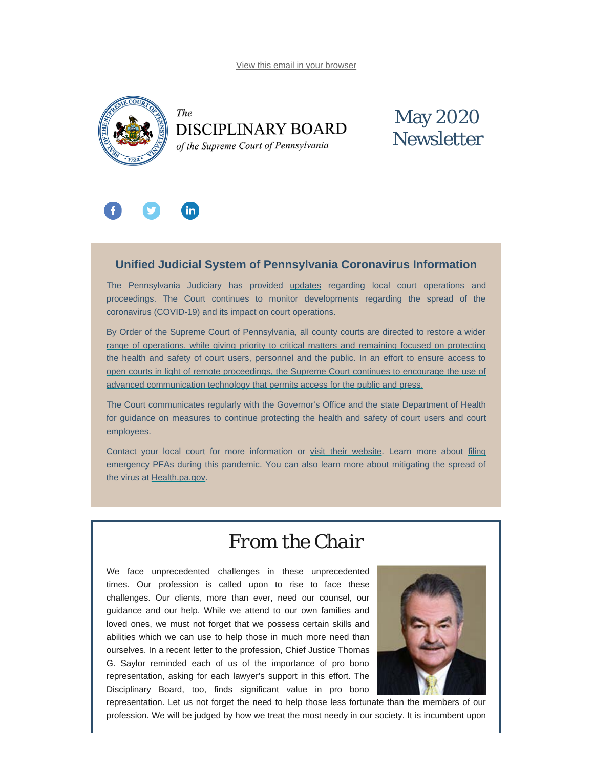[View this email in your browser](#page-0-0)

<span id="page-0-0"></span>

The **DISCIPLINARY BOARD** of the Supreme Court of Pennsylvania

# May 2020 **Newsletter**



## **Unified Judicial System of Pennsylvania Coronavirus Information**

The Pennsylvania Judiciary has provided [updates](http://www.pacourts.us/ujs-coronavirus-information) regarding local court operations and proceedings. The Court continues to monitor developments regarding the spread of the coronavirus (COVID-19) and its impact on court operations.

[By Order of the Supreme Court of Pennsylvania, all county courts are directed to restore a wider](http://www.pacourts.us/assets/files/page-1305/file-9158.pdf) [range of operations, while giving priority to critical matters and remaining focused on protecting](http://www.pacourts.us/assets/files/page-1305/file-9158.pdf) [the health and safety of court users, personnel and the public. In an effort to ensure access to](http://www.pacourts.us/assets/files/page-1305/file-9158.pdf) [open courts in light of remote proceedings, the Supreme Court continues to encourage the use of](http://www.pacourts.us/assets/files/page-1305/file-9158.pdf) [advanced communication technology that permits access for the public and press.](http://www.pacourts.us/assets/files/page-1305/file-9158.pdf)

The Court communicates regularly with the Governor's Office and the state Department of Health for guidance on measures to continue protecting the health and safety of court users and court employees.

Contact your local court for more information or [visit their website.](http://www.pacourts.us/courts/courts-of-common-pleas/) Learn more about [filing](http://www.pacourts.us/learn/protection-orders) [emergency PFAs](http://www.pacourts.us/learn/protection-orders) during this pandemic. You can also learn more about mitigating the spread of the virus at [Health.pa.gov.](https://www.health.pa.gov/topics/disease/Pages/Coronavirus.aspx)

# *From the Chair*

We face unprecedented challenges in these unprecedented times. Our profession is called upon to rise to face these challenges. Our clients, more than ever, need our counsel, our guidance and our help. While we attend to our own families and loved ones, we must not forget that we possess certain skills and abilities which we can use to help those in much more need than ourselves. In a recent letter to the profession, Chief Justice Thomas G. Saylor reminded each of us of the importance of pro bono representation, asking for each lawyer's support in this effort. The Disciplinary Board, too, finds significant value in pro bono



representation. Let us not forget the need to help those less fortunate than the members of our profession. We will be judged by how we treat the most needy in our society. It is incumbent upon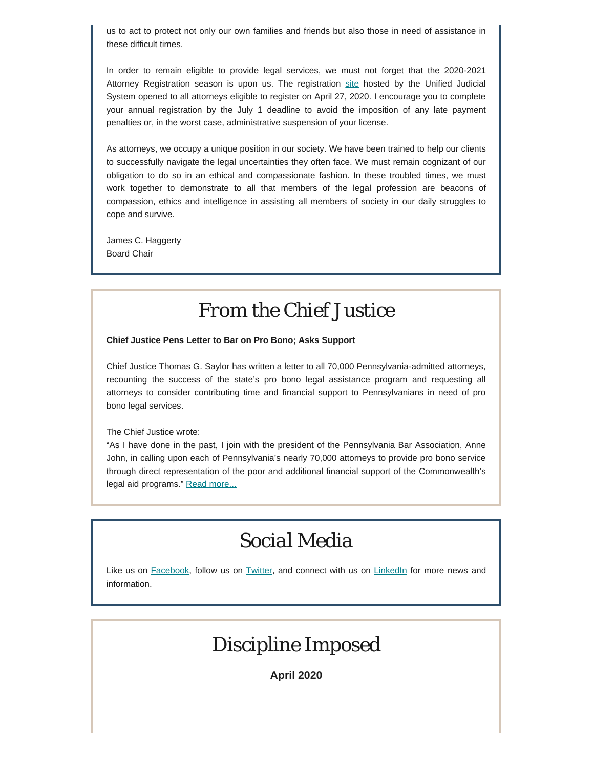us to act to protect not only our own families and friends but also those in need of assistance in these difficult times.

In order to remain eligible to provide legal services, we must not forget that the 2020-2021 Attorney Registration season is upon us. The registration [site](https://ujsportal.pacourts.us/Secure/AttorneyAnnualRegistration/PendingRegistrations.aspx) hosted by the Unified Judicial System opened to all attorneys eligible to register on April 27, 2020. I encourage you to complete your annual registration by the July 1 deadline to avoid the imposition of any late payment penalties or, in the worst case, administrative suspension of your license.

As attorneys, we occupy a unique position in our society. We have been trained to help our clients to successfully navigate the legal uncertainties they often face. We must remain cognizant of our obligation to do so in an ethical and compassionate fashion. In these troubled times, we must work together to demonstrate to all that members of the legal profession are beacons of compassion, ethics and intelligence in assisting all members of society in our daily struggles to cope and survive.

James C. Haggerty Board Chair

# *From the Chief Justice*

**Chief Justice Pens Letter to Bar on Pro Bono; Asks Support**

Chief Justice Thomas G. Saylor has written a letter to all 70,000 Pennsylvania-admitted attorneys, recounting the success of the state's pro bono legal assistance program and requesting all attorneys to consider contributing time and financial support to Pennsylvanians in need of pro bono legal services.

The Chief Justice wrote:

"As I have done in the past, I join with the president of the Pennsylvania Bar Association, Anne John, in calling upon each of Pennsylvania's nearly 70,000 attorneys to provide pro bono service through direct representation of the poor and additional financial support of the Commonwealth's legal aid programs." [Read more...](https://www.padisciplinaryboard.org/Storage/media/pdfs/20200501/193100-saylor_20200501.pdf)

# *Social Media*

Like us on [Facebook](https://www.facebook.com/DBoardPA), follow us on [Twitter,](https://twitter.com/DBoardPa) and connect with us on [LinkedIn](https://www.linkedin.com/company/pennsylvania-disciplinary-board/) for more news and information.

# *Discipline Imposed*

**April 2020**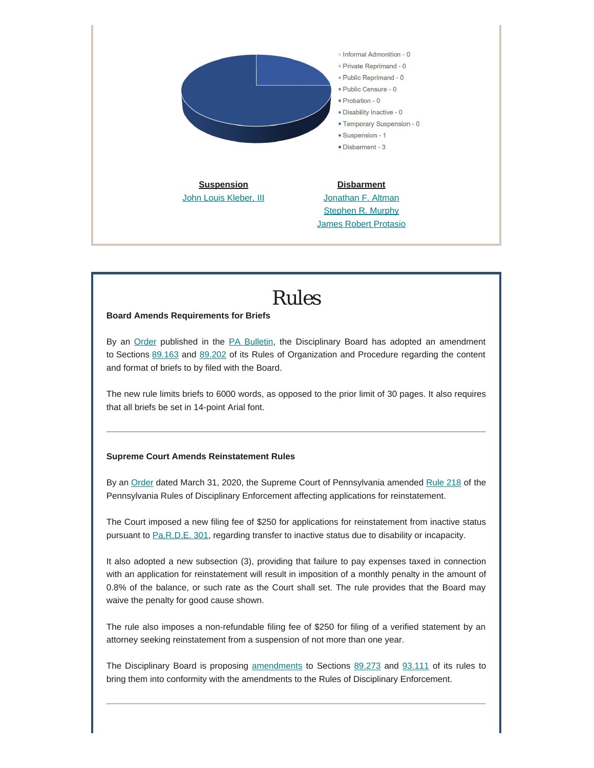

*Rules*

### **Board Amends Requirements for Briefs**

By an [Order](https://www.pacodeandbulletin.gov/Display/pabull?file=/secure/pabulletin/data/vol50/50-19/627.html) published in the [PA Bulletin](https://www.pacodeandbulletin.gov/), the Disciplinary Board has adopted an amendment to Sections [89.163](http://www.pacodeandbulletin.gov/Display/pacode?file=/secure/pacode/data/204/chapter89/s89.163.html&d=reduce) and [89.202](http://www.pacodeandbulletin.gov/Display/pacode?file=/secure/pacode/data/204/chapter89/s89.202.html&d=reduce) of its Rules of Organization and Procedure regarding the content and format of briefs to by filed with the Board.

The new rule limits briefs to 6000 words, as opposed to the prior limit of 30 pages. It also requires that all briefs be set in 14-point Arial font.

### **Supreme Court Amends Reinstatement Rules**

By an [Order](http://www.pacourts.us/assets/opinions/Supreme/out/Order%20Entered%20-%2010438527099032115.pdf?cb=1) dated March 31, 2020, the Supreme Court of Pennsylvania amended [Rule 218](http://www.pacourts.us/assets/opinions/Supreme/out/Order%20Entered-1%20-%2010438527099032092.pdf?cb=1) of the Pennsylvania Rules of Disciplinary Enforcement affecting applications for reinstatement.

The Court imposed a new filing fee of \$250 for applications for reinstatement from inactive status pursuant to [Pa.R.D.E. 301](http://www.pacodeandbulletin.gov/Display/pacode?file=/secure/pacode/data/204/chapter83/s301.html&d=reduce), regarding transfer to inactive status due to disability or incapacity.

It also adopted a new subsection (3), providing that failure to pay expenses taxed in connection with an application for reinstatement will result in imposition of a monthly penalty in the amount of 0.8% of the balance, or such rate as the Court shall set. The rule provides that the Board may waive the penalty for good cause shown.

The rule also imposes a non-refundable filing fee of \$250 for filing of a verified statement by an attorney seeking reinstatement from a suspension of not more than one year.

The Disciplinary Board is proposing [amendments](https://www.pacodeandbulletin.gov/Display/pabull?file=/secure/pabulletin/data/vol50/50-19/628.html) to Sections [89.273](http://www.pacodeandbulletin.gov/Display/pacode?file=/secure/pacode/data/204/chapter89/s89.273.html&d=reduce) and [93.111](http://www.pacodeandbulletin.gov/Display/pacode?file=/secure/pacode/data/204/chapter93/s93.111.html&d=reduce) of its rules to bring them into conformity with the amendments to the Rules of Disciplinary Enforcement.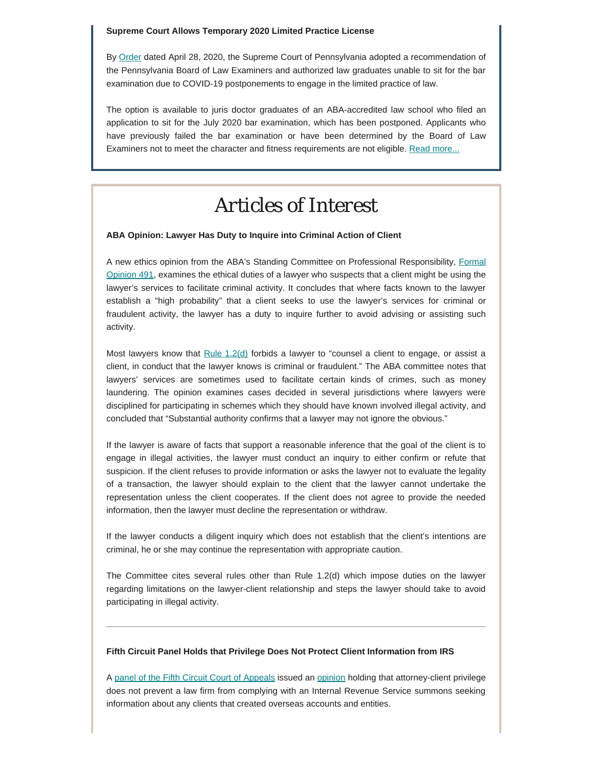#### **Supreme Court Allows Temporary 2020 Limited Practice License**

By [Order](https://www.pabarexam.org/pdf/Supervised_Limited_Practice_Order.pdf) dated April 28, 2020, the Supreme Court of Pennsylvania adopted a recommendation of the Pennsylvania Board of Law Examiners and authorized law graduates unable to sit for the bar examination due to COVID-19 postponements to engage in the limited practice of law.

The option is available to juris doctor graduates of an ABA-accredited law school who filed an application to sit for the July 2020 bar examination, which has been postponed. Applicants who have previously failed the bar examination or have been determined by the Board of Law Examiners not to meet the character and fitness requirements are not eligible. [Read more...](http://www.padisciplinaryboard.org/news-media/news-article/1265/supreme-court-allows-temporary-2020-limited-practice-license)

# *Articles of Interest*

#### **ABA Opinion: Lawyer Has Duty to Inquire into Criminal Action of Client**

A new ethics opinion from the ABA's Standing Committee on Professional Responsibility, [Formal](https://www.americanbar.org/content/dam/aba/administrative/professional_responsibility/aba-formal-opinion-491.pdf) [Opinion 491](https://www.americanbar.org/content/dam/aba/administrative/professional_responsibility/aba-formal-opinion-491.pdf), examines the ethical duties of a lawyer who suspects that a client might be using the lawyer's services to facilitate criminal activity. It concludes that where facts known to the lawyer establish a "high probability" that a client seeks to use the lawyer's services for criminal or fraudulent activity, the lawyer has a duty to inquire further to avoid advising or assisting such activity.

Most lawyers know that [Rule 1.2\(d\)](https://www.padisciplinaryboard.org/for-attorneys/rules/rule/3/the-rules-of-professional-conduct#rule-107) forbids a lawyer to "counsel a client to engage, or assist a client, in conduct that the lawyer knows is criminal or fraudulent." The ABA committee notes that lawyers' services are sometimes used to facilitate certain kinds of crimes, such as money laundering. The opinion examines cases decided in several jurisdictions where lawyers were disciplined for participating in schemes which they should have known involved illegal activity, and concluded that "Substantial authority confirms that a lawyer may not ignore the obvious."

If the lawyer is aware of facts that support a reasonable inference that the goal of the client is to engage in illegal activities, the lawyer must conduct an inquiry to either confirm or refute that suspicion. If the client refuses to provide information or asks the lawyer not to evaluate the legality of a transaction, the lawyer should explain to the client that the lawyer cannot undertake the representation unless the client cooperates. If the client does not agree to provide the needed information, then the lawyer must decline the representation or withdraw.

If the lawyer conducts a diligent inquiry which does not establish that the client's intentions are criminal, he or she may continue the representation with appropriate caution.

The Committee cites several rules other than Rule 1.2(d) which impose duties on the lawyer regarding limitations on the lawyer-client relationship and steps the lawyer should take to avoid participating in illegal activity.

#### **Fifth Circuit Panel Holds that Privilege Does Not Protect Client Information from IRS**

A [panel of the Fifth Circuit Court of Appeals](https://www.abajournal.com/news/article/privilege-doesnt-protect-law-firms-client-information-from-irs-summons-5th-circuit-says) issued an [opinion](http://www.ca5.uscourts.gov/opinions/pub/19/19-50506-CV0.pdf) holding that attorney-client privilege does not prevent a law firm from complying with an Internal Revenue Service summons seeking information about any clients that created overseas accounts and entities.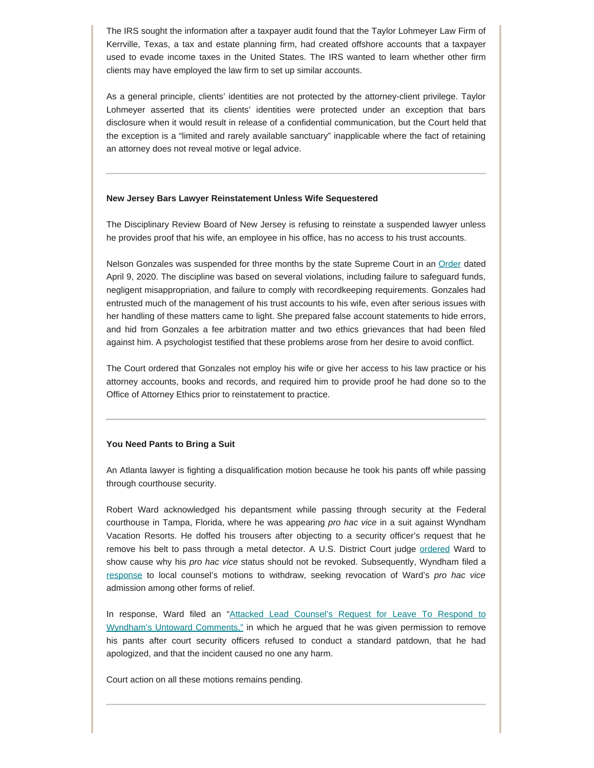The IRS sought the information after a taxpayer audit found that the Taylor Lohmeyer Law Firm of Kerrville, Texas, a tax and estate planning firm, had created offshore accounts that a taxpayer used to evade income taxes in the United States. The IRS wanted to learn whether other firm clients may have employed the law firm to set up similar accounts.

As a general principle, clients' identities are not protected by the attorney-client privilege. Taylor Lohmeyer asserted that its clients' identities were protected under an exception that bars disclosure when it would result in release of a confidential communication, but the Court held that the exception is a "limited and rarely available sanctuary" inapplicable where the fact of retaining an attorney does not reveal motive or legal advice.

#### **New Jersey Bars Lawyer Reinstatement Unless Wife Sequestered**

The Disciplinary Review Board of New Jersey is refusing to reinstate a suspended lawyer unless he provides proof that his wife, an employee in his office, has no access to his trust accounts.

Nelson Gonzales was suspended for three months by the state Supreme Court in an [Order](http://drblookupportal.judiciary.state.nj.us/DocumentHandler.ashx?document_id=1128621) dated April 9, 2020. The discipline was based on several violations, including failure to safeguard funds, negligent misappropriation, and failure to comply with recordkeeping requirements. Gonzales had entrusted much of the management of his trust accounts to his wife, even after serious issues with her handling of these matters came to light. She prepared false account statements to hide errors, and hid from Gonzales a fee arbitration matter and two ethics grievances that had been filed against him. A psychologist testified that these problems arose from her desire to avoid conflict.

The Court ordered that Gonzales not employ his wife or give her access to his law practice or his attorney accounts, books and records, and required him to provide proof he had done so to the Office of Attorney Ethics prior to reinstatement to practice.

#### **You Need Pants to Bring a Suit**

An Atlanta lawyer is fighting a disqualification motion because he took his pants off while passing through courthouse security.

Robert Ward acknowledged his depantsment while passing through security at the Federal courthouse in Tampa, Florida, where he was appearing *pro hac vice* in a suit against Wyndham Vacation Resorts. He doffed his trousers after objecting to a security officer's request that he remove his belt to pass through a metal detector. A U.S. District Court judge [ordered](https://www.abajournal.com/files/WardShowCauseOrder.pdf) Ward to show cause why his *pro hac vice* status should not be revoked. Subsequently, Wyndham filed a [response](https://www.abajournal.com/files/WyndhamOpposition.pdf) to local counsel's motions to withdraw, seeking revocation of Ward's *pro hac vice* admission among other forms of relief.

In response, Ward filed an "[Attacked Lead Counsel's Request for Leave To Respond to](https://www.abajournal.com/files/WardResponse.pdf) [Wyndham's Untoward Comments,"](https://www.abajournal.com/files/WardResponse.pdf) in which he argued that he was given permission to remove his pants after court security officers refused to conduct a standard patdown, that he had apologized, and that the incident caused no one any harm.

Court action on all these motions remains pending.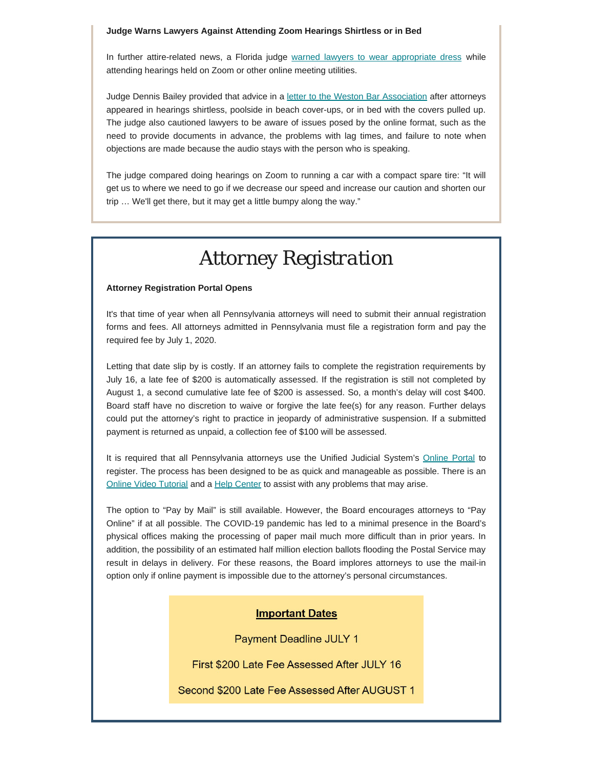#### **Judge Warns Lawyers Against Attending Zoom Hearings Shirtless or in Bed**

In further attire-related news, a Florida judge [warned lawyers to wear appropriate dress](https://www.miamiherald.com/news/local/community/broward/article241976371.html?fbclid=IwAR2POtGLQ3kxd9udKwDo3fGBQhKidta5FPH8AaJMRBA8j2hM6oEj5rnkyrc) while attending hearings held on Zoom or other online meeting utilities.

Judge Dennis Bailey provided that advice in a [letter to the Weston Bar Association](https://www.westonbar.org/so/61N5VoOJe?fbclid=IwAR3gBGUaUfpC8qs0612nMrw-lSDgZkDFiOiCcKGXBjd3SDS8PisCrslHN6c#/main) after attorneys appeared in hearings shirtless, poolside in beach cover-ups, or in bed with the covers pulled up. The judge also cautioned lawyers to be aware of issues posed by the online format, such as the need to provide documents in advance, the problems with lag times, and failure to note when objections are made because the audio stays with the person who is speaking.

The judge compared doing hearings on Zoom to running a car with a compact spare tire: "It will get us to where we need to go if we decrease our speed and increase our caution and shorten our trip … We'll get there, but it may get a little bumpy along the way."

# *Attorney Registration*

### **Attorney Registration Portal Opens**

It's that time of year when all Pennsylvania attorneys will need to submit their annual registration forms and fees. All attorneys admitted in Pennsylvania must file a registration form and pay the required fee by July 1, 2020.

Letting that date slip by is costly. If an attorney fails to complete the registration requirements by July 16, a late fee of \$200 is automatically assessed. If the registration is still not completed by August 1, a second cumulative late fee of \$200 is assessed. So, a month's delay will cost \$400. Board staff have no discretion to waive or forgive the late fee(s) for any reason. Further delays could put the attorney's right to practice in jeopardy of administrative suspension. If a submitted payment is returned as unpaid, a collection fee of \$100 will be assessed.

It is required that all Pennsylvania attorneys use the Unified Judicial System's [Online Portal](https://ujsportal.pacourts.us/LogIn.aspx?showWarning=True&ReturnUrl=%2fSecure%2fAttorneyAnnualRegistration%2fPendingRegistrations.aspx) to register. The process has been designed to be as quick and manageable as possible. There is an [Online Video Tutorial](https://help.pacourts.us/PortalVideoHelp/) and a [Help Center](https://ujsportal.pacourts.us/PortalSelfHelp.aspx) to assist with any problems that may arise.

The option to "Pay by Mail" is still available. However, the Board encourages attorneys to "Pay Online" if at all possible. The COVID-19 pandemic has led to a minimal presence in the Board's physical offices making the processing of paper mail much more difficult than in prior years. In addition, the possibility of an estimated half million election ballots flooding the Postal Service may result in delays in delivery. For these reasons, the Board implores attorneys to use the mail-in option only if online payment is impossible due to the attorney's personal circumstances.

### **Important Dates**

**Payment Deadline JULY 1** 

First \$200 Late Fee Assessed After JULY 16

Second \$200 Late Fee Assessed After AUGUST 1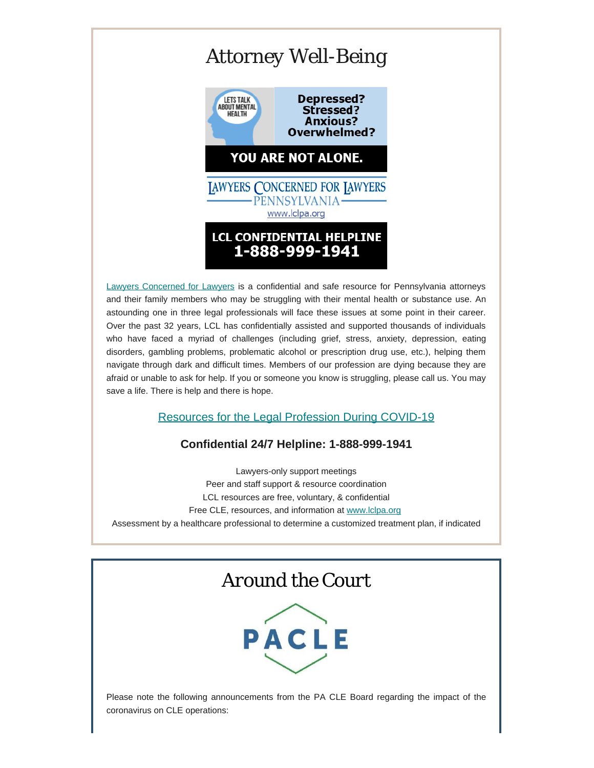# *Attorney Well-Being*



[Lawyers Concerned for Lawyers](https://www.lclpa.org/) is a confidential and safe resource for Pennsylvania attorneys and their family members who may be struggling with their mental health or substance use. An astounding one in three legal professionals will face these issues at some point in their career. Over the past 32 years, LCL has confidentially assisted and supported thousands of individuals who have faced a myriad of challenges (including grief, stress, anxiety, depression, eating disorders, gambling problems, problematic alcohol or prescription drug use, etc.), helping them navigate through dark and difficult times. Members of our profession are dying because they are afraid or unable to ask for help. If you or someone you know is struggling, please call us. You may save a life. There is help and there is hope.

## [Resources for the Legal Profession During COVID-19](https://www.lclpa.org/wp-content/uploads/2020/05/LCL-PA-May-8-2020-COVID-Resources-Update-GenDist..pdf)

## **Confidential 24/7 Helpline: 1-888-999-1941**

Lawyers-only support meetings Peer and staff support & resource coordination LCL resources are free, voluntary, & confidential Free CLE, resources, and information at [www.lclpa.org](https://www.lclpa.org/) Assessment by a healthcare professional to determine a customized treatment plan, if indicated

## *Around the Court*



Please note the following announcements from the PA CLE Board regarding the impact of the coronavirus on CLE operations: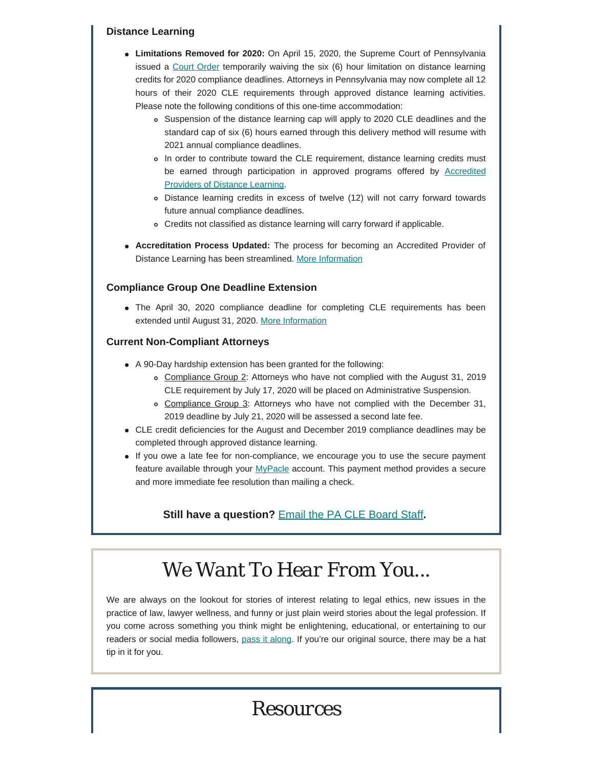### **Distance Learning**

- **Limitations Removed for 2020:** On April 15, 2020, the Supreme Court of Pennsylvania issued a [Court Order](http://www.pacourts.us/assets/opinions/Supreme/out/Order%20Entered%20-%2010439644899571598.pdf?cb=1) temporarily waiving the six (6) hour limitation on distance learning credits for 2020 compliance deadlines. Attorneys in Pennsylvania may now complete all 12 hours of their 2020 CLE requirements through approved distance learning activities. Please note the following conditions of this one-time accommodation:
	- Suspension of the distance learning cap will apply to 2020 CLE deadlines and the standard cap of six (6) hours earned through this delivery method will resume with 2021 annual compliance deadlines.
	- In order to contribute toward the CLE requirement, distance learning credits must be earned through participation in approved programs offered by **[Accredited](https://www.pacle.org/providers/distance-learning)** [Providers of Distance Learning.](https://www.pacle.org/providers/distance-learning)
	- Distance learning credits in excess of twelve (12) will not carry forward towards future annual compliance deadlines.
	- Credits not classified as distance learning will carry forward if applicable.
- **Accreditation Process Updated:** The process for becoming an Accredited Provider of Distance Learning has been streamlined. [More Information](https://www.pacle.org/assets/pdfs/dist_learn_info.pdf)

## **Compliance Group One Deadline Extension**

The April 30, 2020 compliance deadline for completing CLE requirements has been extended until August 31, 2020. [More Information](http://www.pacourts.us/assets/opinions/Supreme/out/832spct-amend.pdf?cb=1)

## **Current Non-Compliant Attorneys**

- A 90-Day hardship extension has been granted for the following:
	- o Compliance Group 2: Attorneys who have not complied with the August 31, 2019 CLE requirement by July 17, 2020 will be placed on Administrative Suspension.
	- o Compliance Group 3: Attorneys who have not complied with the December 31, 2019 deadline by July 21, 2020 will be assessed a second late fee.
- CLE credit deficiencies for the August and December 2019 compliance deadlines may be completed through approved distance learning.
- If you owe a late fee for non-compliance, we encourage you to use the secure payment feature available through your [MyPacle](https://www.pacle.org/lawyer/login) account. This payment method provides a secure and more immediate fee resolution than mailing a check.

## **Still have a question?** [Email the PA CLE Board Staff](mailto:pacleb@pacle.org)**.**

# *We Want To Hear From You...*

We are always on the lookout for stories of interest relating to legal ethics, new issues in the practice of law, lawyer wellness, and funny or just plain weird stories about the legal profession. If you come across something you think might be enlightening, educational, or entertaining to our readers or social media followers, [pass it along](mailto:dboard.news@pacourts.us). If you're our original source, there may be a hat tip in it for you.

# *Resources*